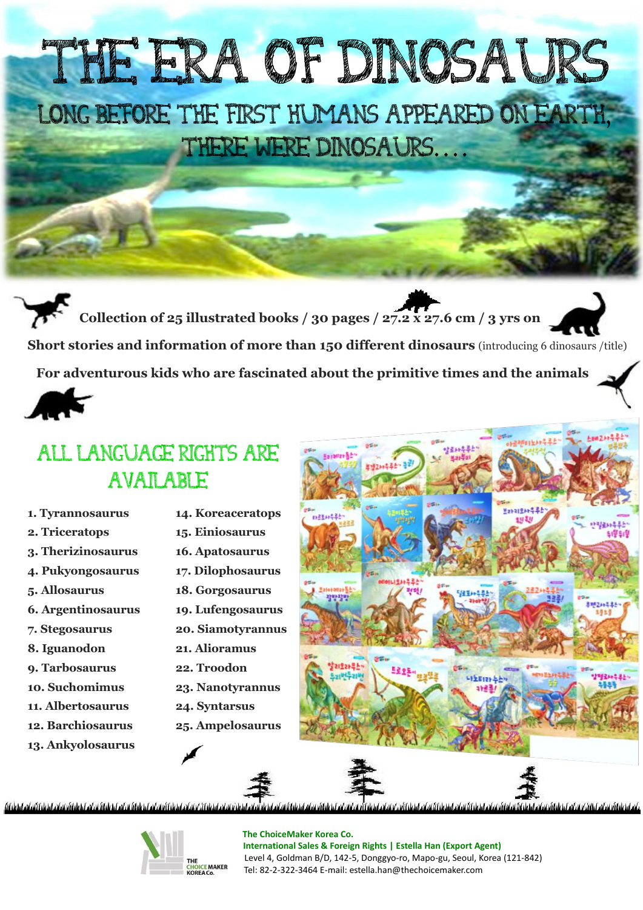# The Era of Dinosaurs of Dinosaurs and Dinosaurs and Dinosaurs and Dinosaurs and Dinosaurs and Dinosaurs and Di

Long before the first humans appeared on Earth, there were dinosaurs….

**Collection of 25 illustrated books / 30 pages / 27.2 x 27.6 cm / 3 yrs on Short stories and information of more than 150 different dinosaurs** (introducing 6 dinosaurs /title) **For adventurous kids who are fascinated about the primitive times and the animals**



## All Language Rights Are **AVAILARIF**

- **1. Tyrannosaurus**
- **2. Triceratops**
- **3. Therizinosaurus**
- **4. Pukyongosaurus**
- **5. Allosaurus**
- **6. Argentinosaurus**
- **7. Stegosaurus**
- **8. Iguanodon**
- **9. Tarbosaurus**
- **10. Suchomimus**
- **11. Albertosaurus**
- **12. Barchiosaurus**
- **13. Ankyolosaurus**
- **14. Koreaceratops**
- **15. Einiosaurus**
- **16. Apatosaurus**
- **17. Dilophosaurus**
- **18. Gorgosaurus**
- **19. Lufengosaurus**
- **20. Siamotyrannus**
- **21. Alioramus**
- **22. Troodon**
- **23. Nanotyrannus**
- **24. Syntarsus**
- **25. Ampelosaurus**



المراسا بلدانة تدراها تعاندراهم استبلدانة تدراهم استدبلدانة تدراهما



 **The ChoiceMaker Korea Co. International Sales & Foreign Rights | Estella Han (Export Agent)** Level 4, Goldman B/D, 142-5, Donggyo-ro, Mapo-gu, Seoul, Korea (121-842) Tel: 82-2-322-3464 E-mail: estella.han@thechoicemaker.com